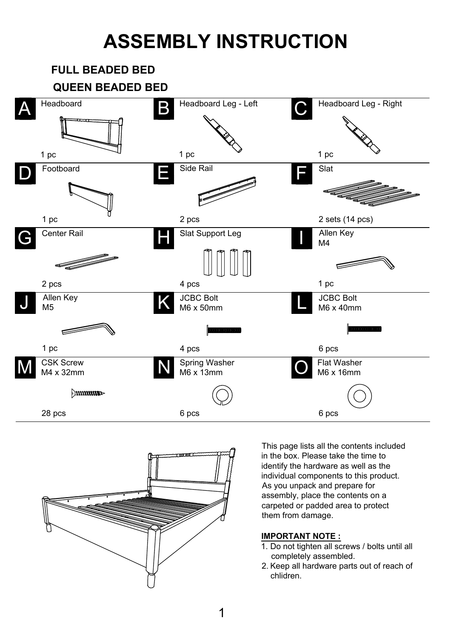## **ASSEMBLY INSTRUCTION**





This page lists all the contents included in the box. Please take the time to identify the hardware as well as the individual components to this product. As you unpack and prepare for assembly, place the contents on a carpeted or padded area to protect them from damage.

## **IMPORTANT NOTE :**

- 1. Do not tighten all screws / bolts until all completely assembled.
- 2. Keep all hardware parts out of reach of chlidren.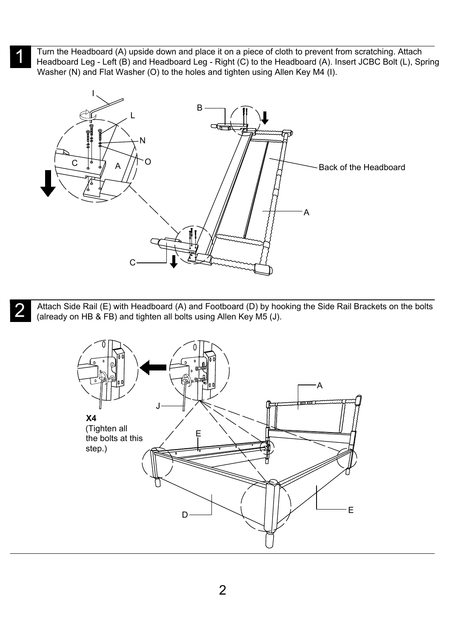Turn the Headboard (A) upside down and place it on a piece of cloth to prevent from scratching. Attach Furn the Headboard (A) upside down and place it on a piece of cloth to prevent from scratching. Attach<br>Headboard Leg - Left (B) and Headboard Leg - Right (C) to the Headboard (A). Insert JCBC Bolt (L), Spring Washer (N) and Flat Washer (O) to the holes and tighten using Allen Key M4 (I).



Attach Side Rail (E) with Headboard (A) and Footboard (D) by hooking the Side Rail Brackets on the bolts Attach Side Rail (E) with Headboard (A) and Footboard (D) by hooking<br>(already on HB & FB) and tighten all bolts using Allen Key M5 (J).